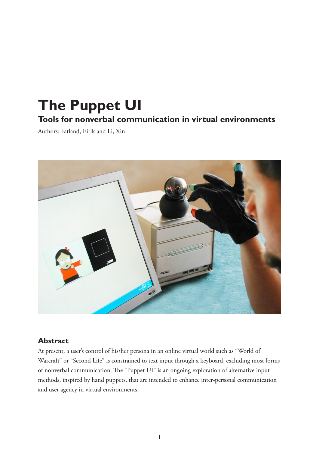# **The Puppet UI Tools for nonverbal communication in virtual environments**

Authors: Fatland, Eirik and Li, Xin



### **Abstract**

At present, a user's control of his/her persona in an online virtual world such as "World of Warcraft" or "Second Life" is constrained to text input through a keyboard, excluding most forms of nonverbal communication. The "Puppet UI" is an ongoing exploration of alternative input methods, inspired by hand puppets, that are intended to enhance inter-personal communication and user agency in virtual environments.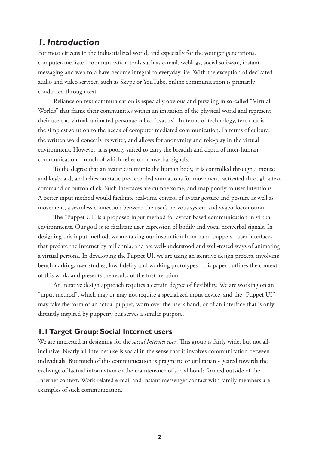## *1. Introduction*

For most citizens in the industrialized world, and especially for the younger generations, computer-mediated communication tools such as e-mail, weblogs, social software, instant messaging and web fora have become integral to everyday life. With the exception of dedicated audio and video services, such as Skype or YouTube, online communication is primarily conducted through text.

Reliance on text communication is especially obvious and puzzling in so-called "Virtual Worlds" that frame their communities within an imitation of the physical world and represent their users as virtual, animated personae called "avatars". In terms of technology, text chat is the simplest solution to the needs of computer mediated communication. In terms of culture, the written word conceals its writer, and allows for anonymity and role-play in the virtual environment. However, it is poorly suited to carry the breadth and depth of inter-human communication – much of which relies on nonverbal signals.

To the degree that an avatar can mimic the human body, it is controlled through a mouse and keyboard, and relies on static pre-recorded animations for movement, activated through a text command or button click. Such interfaces are cumbersome, and map poorly to user intentions. A better input method would facilitate real-time control of avatar gesture and posture as well as movement, a seamless connection between the user's nervous system and avatar locomotion.

The "Puppet UI" is a proposed input method for avatar-based communication in virtual environments. Our goal is to facilitate user expression of bodily and vocal nonverbal signals. In designing this input method, we are taking our inspiration from hand puppets - user interfaces that predate the Internet by millennia, and are well-understood and well-tested ways of animating a virtual persona. In developing the Puppet UI, we are using an iterative design process, involving benchmarking, user studies, low-fidelity and working prototypes. This paper outlines the context of this work, and presents the results of the first iteration.

An iterative design approach requires a certain degree of flexibility. We are working on an "input method", which may or may not require a specialized input device, and the "Puppet UI" may take the form of an actual puppet, worn over the user's hand, or of an interface that is only distantly inspired by puppetry but serves a similar purpose.

### **1.1 Target Group: Social Internet users**

We are interested in designing for the *social Internet user*. This group is fairly wide, but not allinclusive. Nearly all Internet use is social in the sense that it involves communication between individuals. But much of this communication is pragmatic or utilitarian - geared towards the exchange of factual information or the maintenance of social bonds formed outside of the Internet context. Work-related e-mail and instant messenger contact with family members are examples of such communication.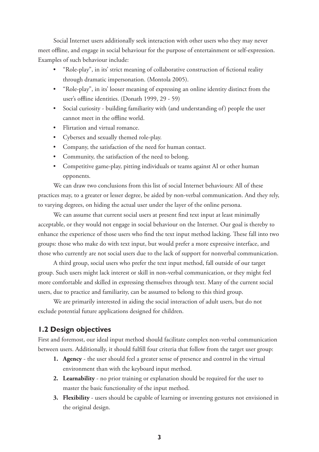Social Internet users additionally seek interaction with other users who they may never meet offline, and engage in social behaviour for the purpose of entertainment or self-expression. Examples of such behaviour include:

- "Role-play", in its' strict meaning of collaborative construction of fictional reality through dramatic impersonation. (Montola 2005). •
- "Role-play", in its' looser meaning of expressing an online identity distinct from the user's offline identities. (Donath 1999, 29 - 59)
- Social curiosity building familiarity with (and understanding of) people the user cannot meet in the offline world.
- Flirtation and virtual romance.
- Cybersex and sexually themed role-play. •
- Company, the satisfaction of the need for human contact.
- Community, the satisfaction of the need to belong.
- Competitive game-play, pitting individuals or teams against AI or other human opponents.

We can draw two conclusions from this list of social Internet behaviours: All of these practices may, to a greater or lesser degree, be aided by non-verbal communication. And they rely, to varying degrees, on hiding the actual user under the layer of the online persona.

We can assume that current social users at present find text input at least minimally acceptable, or they would not engage in social behaviour on the Internet. Our goal is thereby to enhance the experience of those users who find the text input method lacking. These fall into two groups: those who make do with text input, but would prefer a more expressive interface, and those who currently are not social users due to the lack of support for nonverbal communication.

A third group, social users who prefer the text input method, fall outside of our target group. Such users might lack interest or skill in non-verbal communication, or they might feel more comfortable and skilled in expressing themselves through text. Many of the current social users, due to practice and familiarity, can be assumed to belong to this third group.

We are primarily interested in aiding the social interaction of adult users, but do not exclude potential future applications designed for children.

### **1.2 Design objectives**

First and foremost, our ideal input method should facilitate complex non-verbal communication between users. Additionally, it should fulfill four criteria that follow from the target user group:

- **Agency** the user should feel a greater sense of presence and control in the virtual **1.** environment than with the keyboard input method.
- **Learnability** no prior training or explanation should be required for the user to **2.** master the basic functionality of the input method.
- **Flexibility** users should be capable of learning or inventing gestures not envisioned in **3.**the original design.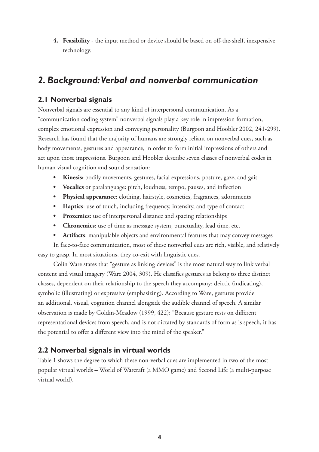**Feasibility** - the input method or device should be based on off-the-shelf, inexpensive **4.** technology.

# *2. Background: Verbal and nonverbal communication*

### **2.1 Nonverbal signals**

Nonverbal signals are essential to any kind of interpersonal communication. As a "communication coding system" nonverbal signals play a key role in impression formation, complex emotional expression and conveying personality (Burgoon and Hoobler 2002, 241-299). Research has found that the majority of humans are strongly reliant on nonverbal cues, such as body movements, gestures and appearance, in order to form initial impressions of others and act upon those impressions. Burgoon and Hoobler describe seven classes of nonverbal codes in human visual cognition and sound sensation:

- **Kinesis:** bodily movements, gestures, facial expressions, posture, gaze, and gait **•**
- **Vocalics** or paralanguage: pitch, loudness, tempo, pauses, and inflection **•**
- **Physical appearance**: clothing, hairstyle, cosmetics, fragrances, adornments **•**
- **Haptics**: use of touch, including frequency, intensity, and type of contact **•**
- **Proxemics**: use of interpersonal distance and spacing relationships **•**
- **Chronemics**: use of time as message system, punctuality, lead time, etc. **•**
- **Artifacts**: manipulable objects and environmental features that may convey messages **•**

In face-to-face communication, most of these nonverbal cues are rich, visible, and relatively easy to grasp. In most situations, they co-exit with linguistic cues.

Colin Ware states that "gesture as linking devices" is the most natural way to link verbal content and visual imagery (Ware 2004, 309). He classifies gestures as belong to three distinct classes, dependent on their relationship to the speech they accompany: deictic (indicating), symbolic (illustrating) or expressive (emphasizing). According to Ware, gestures provide an additional, visual, cognition channel alongside the audible channel of speech. A similar observation is made by Goldin-Meadow (1999, 422): "Because gesture rests on different representational devices from speech, and is not dictated by standards of form as is speech, it has the potential to offer a different view into the mind of the speaker."

### **2.2 Nonverbal signals in virtual worlds**

Table 1 shows the degree to which these non-verbal cues are implemented in two of the most popular virtual worlds – World of Warcraft (a MMO game) and Second Life (a multi-purpose virtual world).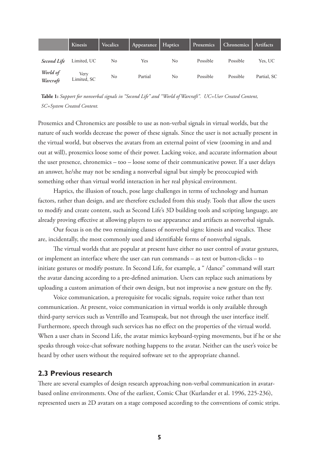|                      | Kinesis             | Vocalics | Appearance | Haptics | Proxemics | <b>Chronemics</b> | Artifacts   |
|----------------------|---------------------|----------|------------|---------|-----------|-------------------|-------------|
| <b>Second Life</b>   | Limited, UC         | No       | Yes        | No      | Possible  | Possible          | Yes, UC     |
| World of<br>Warcraft | Verv<br>Limited, SC | No       | Partial    | No      | Possible  | Possible          | Partial, SC |

**Table 1:** *Support for nonverbal signals in "Second Life" and "World of Warcraft". UC=User Created Content, SC=System Created Content.* 

Proxemics and Chronemics are possible to use as non-verbal signals in virtual worlds, but the nature of such worlds decrease the power of these signals. Since the user is not actually present in the virtual world, but observes the avatars from an external point of view (zooming in and and out at will), proxemics loose some of their power. Lacking voice, and accurate information about the user presence, chronemics – too – loose some of their communicative power. If a user delays an answer, he/she may not be sending a nonverbal signal but simply be preoccupied with something other than virtual world interaction in her real physical environment.

Haptics, the illusion of touch, pose large challenges in terms of technology and human factors, rather than design, and are therefore excluded from this study. Tools that allow the users to modify and create content, such as Second Life's 3D building tools and scripting language, are already proving effective at allowing players to use appearance and artifacts as nonverbal signals.

Our focus is on the two remaining classes of nonverbal signs: kinesis and vocalics. These are, incidentally, the most commonly used and identifiable forms of nonverbal signals.

The virtual worlds that are popular at present have either no user control of avatar gestures, or implement an interface where the user can run commands – as text or button-clicks – to initiate gestures or modify posture. In Second Life, for example, a " /dance" command will start the avatar dancing according to a pre-defined animation. Users can replace such animations by uploading a custom animation of their own design, but not improvise a new gesture on the fly.

Voice communication, a prerequisite for vocalic signals, require voice rather than text communication. At present, voice communication in virtual worlds is only available through third-party services such as Ventrillo and Teamspeak, but not through the user interface itself. Furthermore, speech through such services has no effect on the properties of the virtual world. When a user chats in Second Life, the avatar mimics keyboard-typing movements, but if he or she speaks through voice-chat software nothing happens to the avatar. Neither can the user's voice be heard by other users without the required software set to the appropriate channel.

#### **2.3 Previous research**

There are several examples of design research approaching non-verbal communication in avatarbased online environments. One of the earliest, Comic Chat (Kurlander et al. 1996, 225-236), represented users as 2D avatars on a stage composed according to the conventions of comic strips.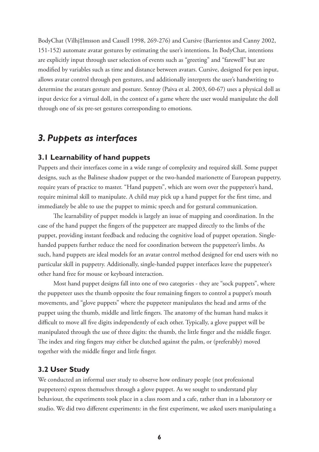BodyChat (Vilhj‡lmsson and Cassell 1998, 269-276) and Cursive (Barrientos and Canny 2002, 151-152) automate avatar gestures by estimating the user's intentions. In BodyChat, intentions are explicitly input through user selection of events such as "greeting" and "farewell" but are modified by variables such as time and distance between avatars. Cursive, designed for pen input, allows avatar control through pen gestures, and additionally interprets the user's handwriting to determine the avatars gesture and posture. Sentoy (Paiva et al. 2003, 60-67) uses a physical doll as input device for a virtual doll, in the context of a game where the user would manipulate the doll through one of six pre-set gestures corresponding to emotions.

### *3. Puppets as interfaces*

#### **3.1 Learnability of hand puppets**

Puppets and their interfaces come in a wide range of complexity and required skill. Some puppet designs, such as the Balinese shadow puppet or the two-handed marionette of European puppetry, require years of practice to master. "Hand puppets", which are worn over the puppeteer's hand, require minimal skill to manipulate. A child may pick up a hand puppet for the first time, and immediately be able to use the puppet to mimic speech and for gestural communication.

The learnability of puppet models is largely an issue of mapping and coordination. In the case of the hand puppet the fingers of the puppeteer are mapped directly to the limbs of the puppet, providing instant feedback and reducing the cognitive load of puppet operation. Singlehanded puppets further reduce the need for coordination between the puppeteer's limbs. As such, hand puppets are ideal models for an avatar control method designed for end users with no particular skill in puppetry. Additionally, single-handed puppet interfaces leave the puppeteer's other hand free for mouse or keyboard interaction.

Most hand puppet designs fall into one of two categories - they are "sock puppets", where the puppeteer uses the thumb opposite the four remaining fingers to control a puppet's mouth movements, and "glove puppets" where the puppeteer manipulates the head and arms of the puppet using the thumb, middle and little fingers. The anatomy of the human hand makes it difficult to move all five digits independently of each other. Typically, a glove puppet will be manipulated through the use of three digits: the thumb, the little finger and the middle finger. The index and ring fingers may either be clutched against the palm, or (preferably) moved together with the middle finger and little finger.

#### **3.2 User Study**

We conducted an informal user study to observe how ordinary people (not professional puppeteers) express themselves through a glove puppet. As we sought to understand play behaviour, the experiments took place in a class room and a cafe, rather than in a laboratory or studio. We did two different experiments: in the first experiment, we asked users manipulating a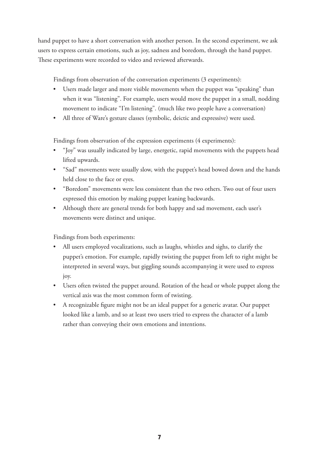hand puppet to have a short conversation with another person. In the second experiment, we ask users to express certain emotions, such as joy, sadness and boredom, through the hand puppet. These experiments were recorded to video and reviewed afterwards.

Findings from observation of the conversation experiments (3 experiments):

- Users made larger and more visible movements when the puppet was "speaking" than when it was "listening". For example, users would move the puppet in a small, nodding movement to indicate "I'm listening". (much like two people have a conversation)
- All three of Ware's gesture classes (symbolic, deictic and expressive) were used.  $\bullet$

Findings from observation of the expression experiments (4 experiments):

- "Joy" was usually indicated by large, energetic, rapid movements with the puppets head lifted upwards. •
- "Sad" movements were usually slow, with the puppet's head bowed down and the hands held close to the face or eyes.
- "Boredom" movements were less consistent than the two others. Two out of four users expressed this emotion by making puppet leaning backwards.
- Although there are general trends for both happy and sad movement, each user's movements were distinct and unique.

Findings from both experiments:

- All users employed vocalizations, such as laughs, whistles and sighs, to clarify the puppet's emotion. For example, rapidly twisting the puppet from left to right might be interpreted in several ways, but giggling sounds accompanying it were used to express joy. •
- Users often twisted the puppet around. Rotation of the head or whole puppet along the vertical axis was the most common form of twisting.
- A recognizable figure might not be an ideal puppet for a generic avatar. Our puppet •looked like a lamb, and so at least two users tried to express the character of a lamb rather than conveying their own emotions and intentions.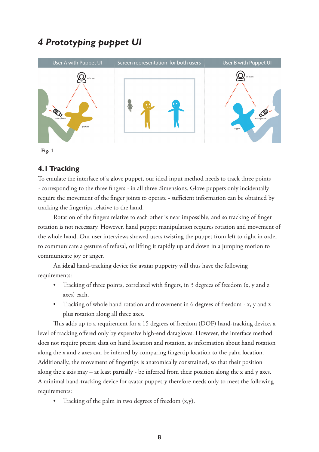# *4 Prototyping puppet UI*





### **4.1 Tracking**

To emulate the interface of a glove puppet, our ideal input method needs to track three points - corresponding to the three fingers - in all three dimensions. Glove puppets only incidentally require the movement of the finger joints to operate - sufficient information can be obtained by tracking the fingertips relative to the hand.

Rotation of the fingers relative to each other is near impossible, and so tracking of finger rotation is not necessary. However, hand puppet manipulation requires rotation and movement of the whole hand. Our user interviews showed users twisting the puppet from left to right in order to communicate a gesture of refusal, or lifting it rapidly up and down in a jumping motion to communicate joy or anger.

An **ideal** hand-tracking device for avatar puppetry will thus have the following requirements:

- Tracking of three points, correlated with fingers, in 3 degrees of freedom (x, y and z axes) each. •
- Tracking of whole hand rotation and movement in 6 degrees of freedom x, y and z plus rotation along all three axes. •

This adds up to a requirement for a 15 degrees of freedom (DOF) hand-tracking device, a level of tracking offered only by expensive high-end datagloves. However, the interface method does not require precise data on hand location and rotation, as information about hand rotation along the x and z axes can be inferred by comparing fingertip location to the palm location. Additionally, the movement of fingertips is anatomically constrained, so that their position along the z axis may – at least partially - be inferred from their position along the x and y axes. A minimal hand-tracking device for avatar puppetry therefore needs only to meet the following requirements:

Tracking of the palm in two degrees of freedom (x,y). •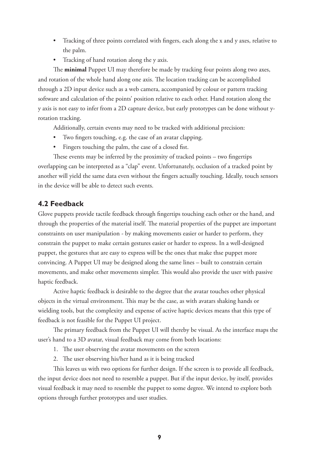- Tracking of three points correlated with fingers, each along the x and y axes, relative to the palm. •
- Tracking of hand rotation along the y axis. •

The **minimal** Puppet UI may therefore be made by tracking four points along two axes, and rotation of the whole hand along one axis. The location tracking can be accomplished through a 2D input device such as a web camera, accompanied by colour or pattern tracking software and calculation of the points' position relative to each other. Hand rotation along the y axis is not easy to infer from a 2D capture device, but early prototypes can be done without yrotation tracking.

Additionally, certain events may need to be tracked with additional precision:

- Two fingers touching, e.g. the case of an avatar clapping. •
- Fingers touching the palm, the case of a closed fist. •

These events may be inferred by the proximity of tracked points – two fingertips overlapping can be interpreted as a "clap" event. Unfortunately, occlusion of a tracked point by another will yield the same data even without the fingers actually touching. Ideally, touch sensors in the device will be able to detect such events.

#### **4.2 Feedback**

Glove puppets provide tactile feedback through fingertips touching each other or the hand, and through the properties of the material itself. The material properties of the puppet are important constraints on user manipulation - by making movements easier or harder to perform, they constrain the puppet to make certain gestures easier or harder to express. In a well-designed puppet, the gestures that are easy to express will be the ones that make thse puppet more convincing. A Puppet UI may be designed along the same lines – built to constrain certain movements, and make other movements simpler. This would also provide the user with passive haptic feedback.

Active haptic feedback is desirable to the degree that the avatar touches other physical objects in the virtual environment. This may be the case, as with avatars shaking hands or wielding tools, but the complexity and expense of active haptic devices means that this type of feedback is not feasible for the Puppet UI project.

The primary feedback from the Puppet UI will thereby be visual. As the interface maps the user's hand to a 3D avatar, visual feedback may come from both locations:

- 1. The user observing the avatar movements on the screen
- 2. The user observing his/her hand as it is being tracked

This leaves us with two options for further design. If the screen is to provide all feedback, the input device does not need to resemble a puppet. But if the input device, by itself, provides visual feedback it may need to resemble the puppet to some degree. We intend to explore both options through further prototypes and user studies.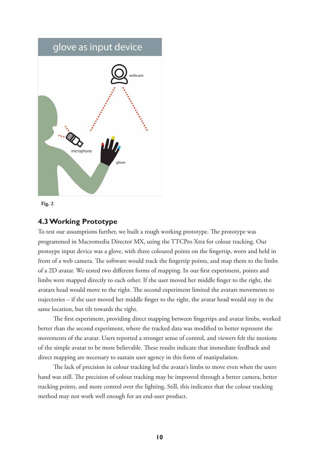# glove as input device



**Fig. 2**

#### **4.3 Working Prototype**

To test our assumptions further, we built a rough working prototype. The prototype was programmed in Macromedia Director MX, using the TTCPro Xtra for colour tracking. Our protoype input device was a glove, with three coloured points on the fingertip, worn and held in front of a web camera. The software would track the fingertip points, and map them to the limbs of a 2D avatar. We tested two different forms of mapping. In our first experiment, points and limbs were mapped directly to each other. If the user moved her middle finger to the right, the avatars head would move to the right. The second experiment limited the avatars movements to trajectories – if the user moved her middle finger to the right, the avatar head would stay in the same location, but tilt towards the right.

The first experiment, providing direct mapping between fingertips and avatar limbs, worked better than the second experiment, where the tracked data was modified to better represent the movements of the avatar. Users reported a stronger sense of control, and viewers felt the motions of the simple avatar to be more believable. These results indicate that immediate feedback and direct mapping are necessary to sustain user agency in this form of manipulation.

The lack of precision in colour tracking led the avatar's limbs to move even when the users hand was still. The precision of colour tracking may be improved through a better camera, better tracking points, and more control over the lighting. Still, this indicates that the colour tracking method may not work well enough for an end-user product.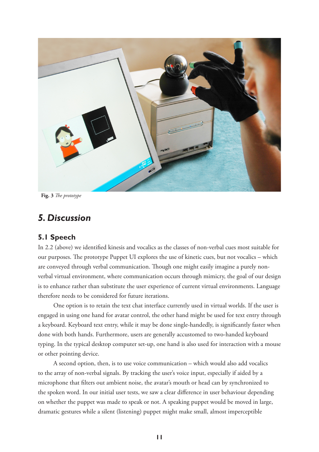

**Fig. 3** *The prototype*

### *5. Discussion*

### **5.1 Speech**

In 2.2 (above) we identified kinesis and vocalics as the classes of non-verbal cues most suitable for our purposes. The prototype Puppet UI explores the use of kinetic cues, but not vocalics – which are conveyed through verbal communication. Though one might easily imagine a purely nonverbal virtual environment, where communication occurs through mimicry, the goal of our design is to enhance rather than substitute the user experience of current virtual environments. Language therefore needs to be considered for future iterations.

One option is to retain the text chat interface currently used in virtual worlds. If the user is engaged in using one hand for avatar control, the other hand might be used for text entry through a keyboard. Keyboard text entry, while it may be done single-handedly, is significantly faster when done with both hands. Furthermore, users are generally accustomed to two-handed keyboard typing. In the typical desktop computer set-up, one hand is also used for interaction with a mouse or other pointing device.

A second option, then, is to use voice communication – which would also add vocalics to the array of non-verbal signals. By tracking the user's voice input, especially if aided by a microphone that filters out ambient noise, the avatar's mouth or head can by synchronized to the spoken word. In our initial user tests, we saw a clear difference in user behaviour depending on whether the puppet was made to speak or not. A speaking puppet would be moved in large, dramatic gestures while a silent (listening) puppet might make small, almost imperceptible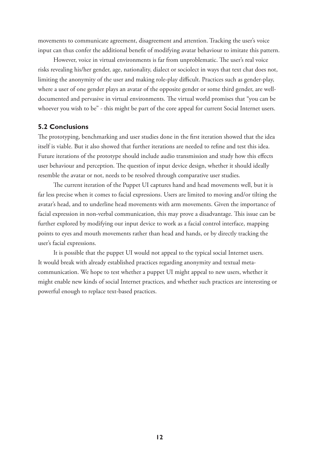movements to communicate agreement, disagreement and attention. Tracking the user's voice input can thus confer the additional benefit of modifying avatar behaviour to imitate this pattern.

However, voice in virtual environments is far from unproblematic. The user's real voice risks revealing his/her gender, age, nationality, dialect or sociolect in ways that text chat does not, limiting the anonymity of the user and making role-play difficult. Practices such as gender-play, where a user of one gender plays an avatar of the opposite gender or some third gender, are welldocumented and pervasive in virtual environments. The virtual world promises that "you can be whoever you wish to be" - this might be part of the core appeal for current Social Internet users.

#### **5.2 Conclusions**

The prototyping, benchmarking and user studies done in the first iteration showed that the idea itself is viable. But it also showed that further iterations are needed to refine and test this idea. Future iterations of the prototype should include audio transmission and study how this effects user behaviour and perception. The question of input device design, whether it should ideally resemble the avatar or not, needs to be resolved through comparative user studies.

The current iteration of the Puppet UI captures hand and head movements well, but it is far less precise when it comes to facial expressions. Users are limited to moving and/or tilting the avatar's head, and to underline head movements with arm movements. Given the importance of facial expression in non-verbal communication, this may prove a disadvantage. This issue can be further explored by modifying our input device to work as a facial control interface, mapping points to eyes and mouth movements rather than head and hands, or by directly tracking the user's facial expressions.

It is possible that the puppet UI would not appeal to the typical social Internet users. It would break with already established practices regarding anonymity and textual metacommunication. We hope to test whether a puppet UI might appeal to new users, whether it might enable new kinds of social Internet practices, and whether such practices are interesting or powerful enough to replace text-based practices.